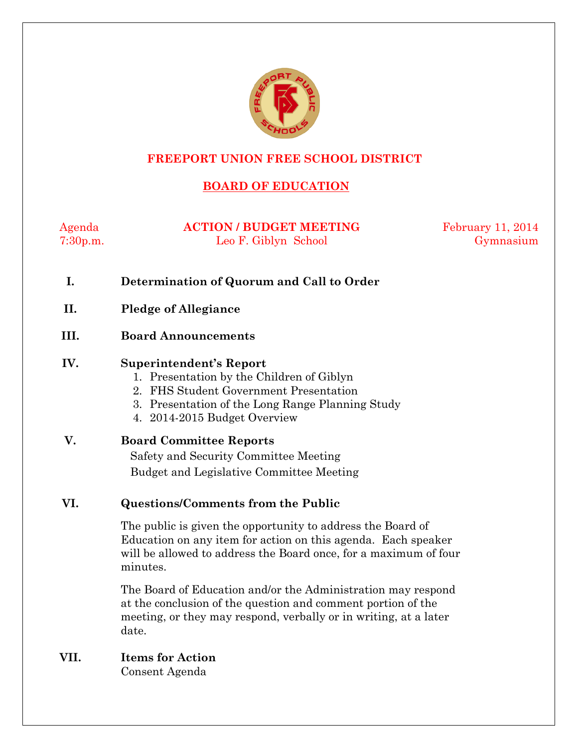

## **FREEPORT UNION FREE SCHOOL DISTRICT**

## **BOARD OF EDUCATION**

Agenda **ACTION / BUDGET MEETING** February 11, 2014 7:30p.m. Leo F. Giblyn School Gymnasium

- **I. Determination of Quorum and Call to Order**
- **II. Pledge of Allegiance**
- **III. Board Announcements**

#### **IV. Superintendent's Report**

- 1. Presentation by the Children of Giblyn
- 2. FHS Student Government Presentation
- 3. Presentation of the Long Range Planning Study
- 4. 2014-2015 Budget Overview

| V. | <b>Board Committee Reports</b>           |  |
|----|------------------------------------------|--|
|    | Safety and Security Committee Meeting    |  |
|    | Budget and Legislative Committee Meeting |  |
|    |                                          |  |

## **VI. Questions/Comments from the Public**

The public is given the opportunity to address the Board of Education on any item for action on this agenda. Each speaker will be allowed to address the Board once, for a maximum of four minutes.

The Board of Education and/or the Administration may respond at the conclusion of the question and comment portion of the meeting, or they may respond, verbally or in writing, at a later date.

## **VII. Items for Action**

Consent Agenda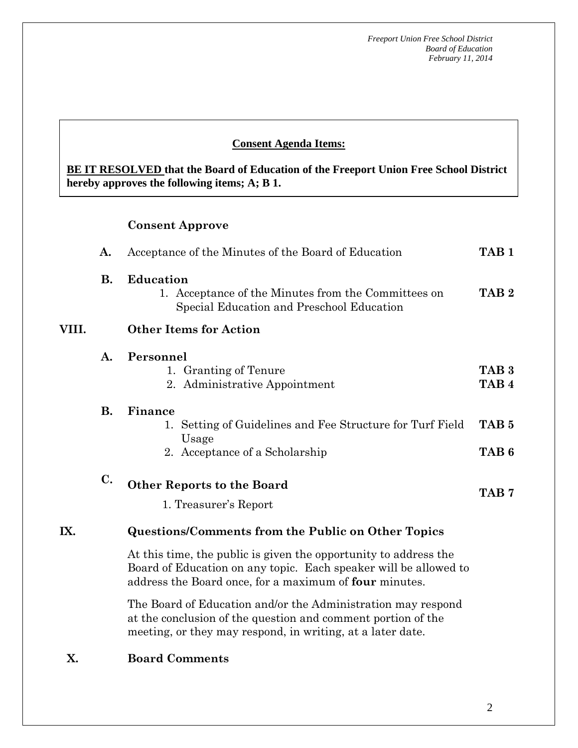## **Consent Agenda Items:**

**BE IT RESOLVED that the Board of Education of the Freeport Union Free School District hereby approves the following items; A; B 1.** 

#### **Consent Approve**

 *Acceptance of the Minutes*  $\mathbf{A}$ 

 **AA. Consent - Approve** 

|       | A.             | Acceptance of the Minutes of the Board of Education                                                                                                                                                   |                                      |  |
|-------|----------------|-------------------------------------------------------------------------------------------------------------------------------------------------------------------------------------------------------|--------------------------------------|--|
|       | В.             | <b>Education</b><br>1. Acceptance of the Minutes from the Committees on<br>Special Education and Preschool Education                                                                                  | TAB <sub>2</sub>                     |  |
| VIII. |                | <b>Other Items for Action</b>                                                                                                                                                                         |                                      |  |
|       | A.             | Personnel<br>1. Granting of Tenure<br>2. Administrative Appointment                                                                                                                                   | TAB <sub>3</sub><br>TAB <sub>4</sub> |  |
|       | <b>B.</b>      | Finance<br>1. Setting of Guidelines and Fee Structure for Turf Field<br>Usage<br>2. Acceptance of a Scholarship                                                                                       | TAB <sub>5</sub><br>TAB <sub>6</sub> |  |
|       | $\mathbf{C}$ . | <b>Other Reports to the Board</b><br>1. Treasurer's Report                                                                                                                                            | TAB <sub>7</sub>                     |  |
| IX.   |                | <b>Questions/Comments from the Public on Other Topics</b>                                                                                                                                             |                                      |  |
|       |                | At this time, the public is given the opportunity to address the<br>Board of Education on any topic. Each speaker will be allowed to<br>address the Board once, for a maximum of <b>four</b> minutes. |                                      |  |
|       |                | $\mathbf{m}$ . Denote for exacting explaints of the function of the contract $\mathbf{r}$                                                                                                             |                                      |  |

The Board of Education and/or the Administration may respond at the conclusion of the question and comment portion of the meeting, or they may respond, in writing, at a later date.

#### **X. Board Comments**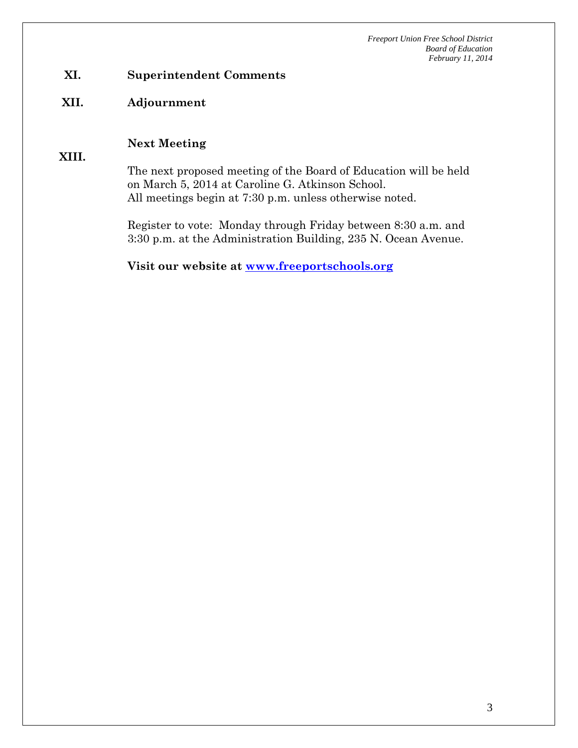## **XI. Superintendent Comments**

#### **XII. Adjournment**

#### **Next Meeting**

**XIII.** 

The next proposed meeting of the Board of Education will be held on March 5, 2014 at Caroline G. Atkinson School. All meetings begin at 7:30 p.m. unless otherwise noted.

Register to vote: Monday through Friday between 8:30 a.m. and 3:30 p.m. at the Administration Building, 235 N. Ocean Avenue.

**Visit our website at www.freeportschools.org**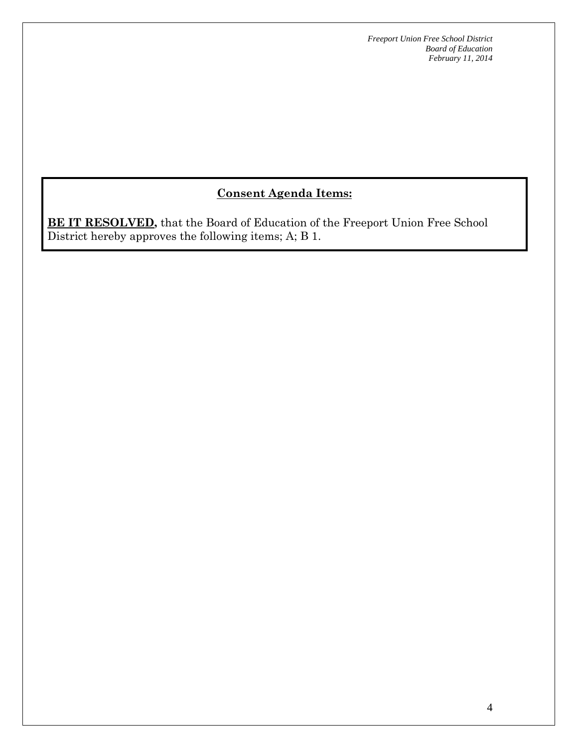## **Consent Agenda Items:**

**BE IT RESOLVED,** that the Board of Education of the Freeport Union Free School District hereby approves the following items; A; B 1.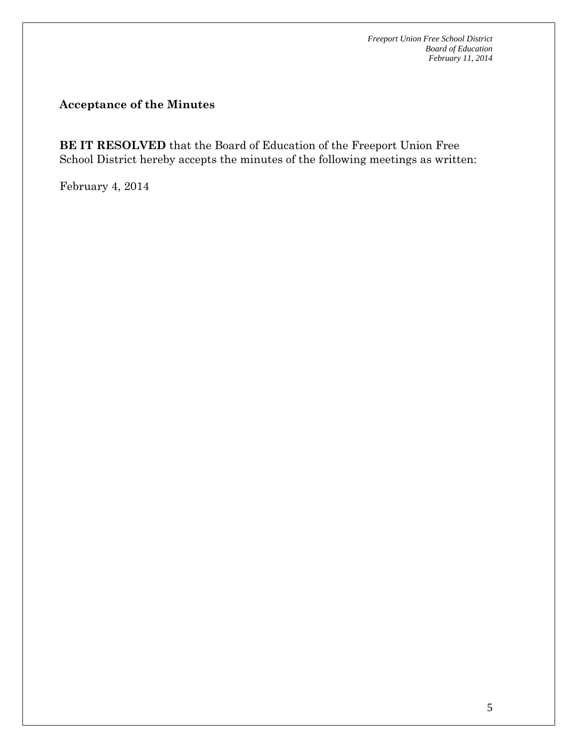## **Acceptance of the Minutes**

**BE IT RESOLVED** that the Board of Education of the Freeport Union Free School District hereby accepts the minutes of the following meetings as written:

February 4, 2014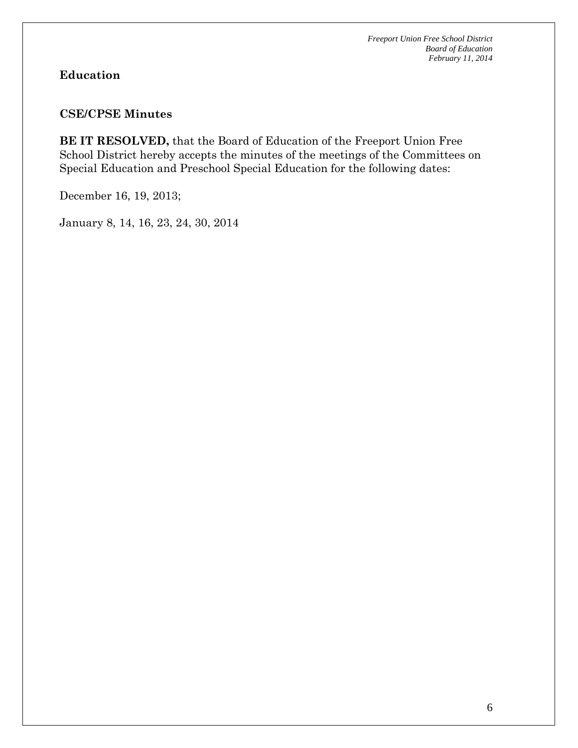## **Education**

## **CSE/CPSE Minutes**

**BE IT RESOLVED,** that the Board of Education of the Freeport Union Free School District hereby accepts the minutes of the meetings of the Committees on Special Education and Preschool Special Education for the following dates:

December 16, 19, 2013;

January 8, 14, 16, 23, 24, 30, 2014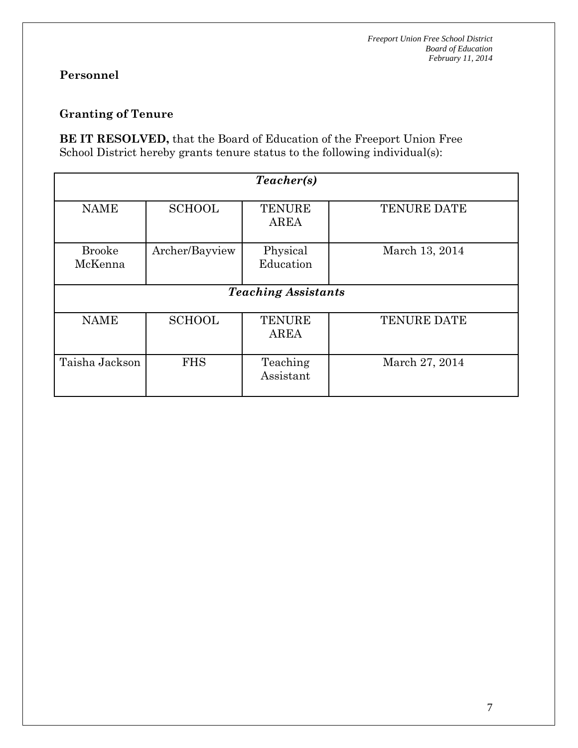## **Personnel**

## **Granting of Tenure**

**BE IT RESOLVED,** that the Board of Education of the Freeport Union Free School District hereby grants tenure status to the following individual(s):

| Teacher(s)                 |                |                              |                    |  |  |  |  |  |
|----------------------------|----------------|------------------------------|--------------------|--|--|--|--|--|
| <b>NAME</b>                | <b>SCHOOL</b>  | <b>TENURE</b><br><b>AREA</b> | <b>TENURE DATE</b> |  |  |  |  |  |
| <b>Brooke</b><br>McKenna   | Archer/Bayview | Physical<br>Education        | March 13, 2014     |  |  |  |  |  |
| <b>Teaching Assistants</b> |                |                              |                    |  |  |  |  |  |
| <b>NAME</b>                | <b>SCHOOL</b>  | <b>TENURE</b><br>AREA        | <b>TENURE DATE</b> |  |  |  |  |  |
| Taisha Jackson             | <b>FHS</b>     | Teaching<br>Assistant        | March 27, 2014     |  |  |  |  |  |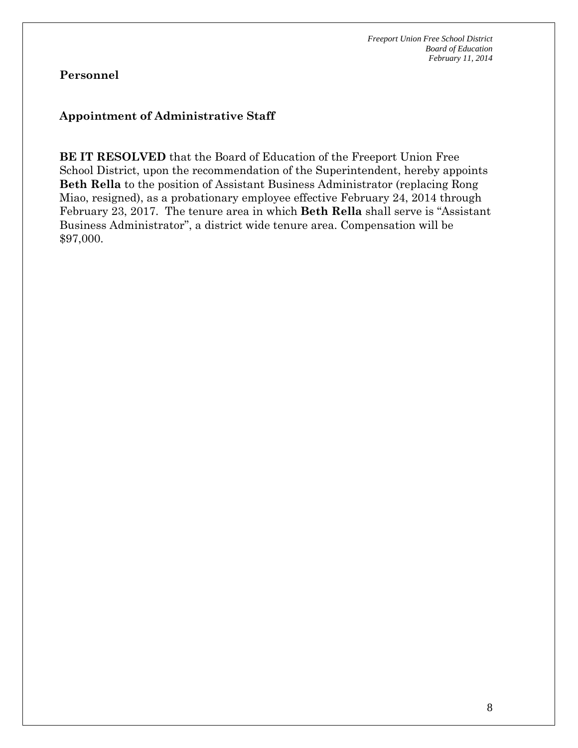## **Personnel**

## **Appointment of Administrative Staff**

**BE IT RESOLVED** that the Board of Education of the Freeport Union Free School District, upon the recommendation of the Superintendent, hereby appoints **Beth Rella** to the position of Assistant Business Administrator (replacing Rong Miao, resigned), as a probationary employee effective February 24, 2014 through February 23, 2017. The tenure area in which **Beth Rella** shall serve is "Assistant Business Administrator", a district wide tenure area. Compensation will be \$97,000.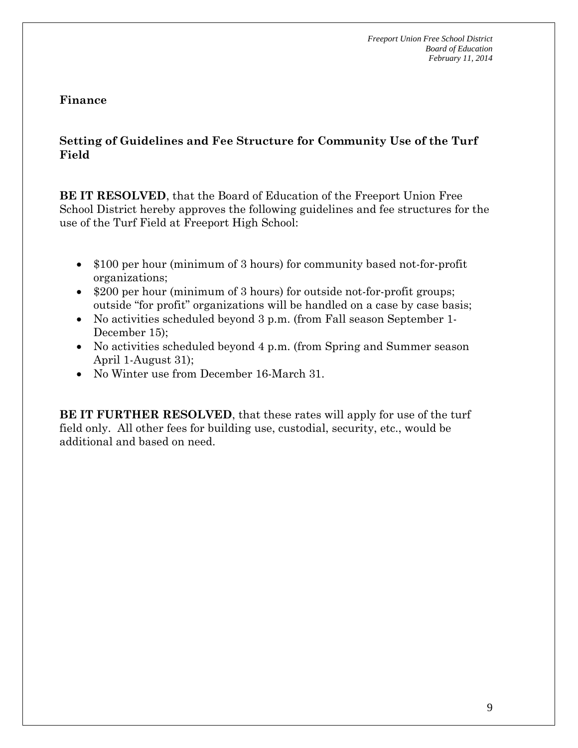### **Finance**

## **Setting of Guidelines and Fee Structure for Community Use of the Turf Field**

**BE IT RESOLVED**, that the Board of Education of the Freeport Union Free School District hereby approves the following guidelines and fee structures for the use of the Turf Field at Freeport High School:

- \$100 per hour (minimum of 3 hours) for community based not-for-profit organizations;
- \$200 per hour (minimum of 3 hours) for outside not-for-profit groups; outside "for profit" organizations will be handled on a case by case basis;
- No activities scheduled beyond 3 p.m. (from Fall season September 1- December 15);
- No activities scheduled beyond 4 p.m. (from Spring and Summer season April 1-August 31);
- No Winter use from December 16-March 31.

**BE IT FURTHER RESOLVED**, that these rates will apply for use of the turf field only. All other fees for building use, custodial, security, etc., would be additional and based on need.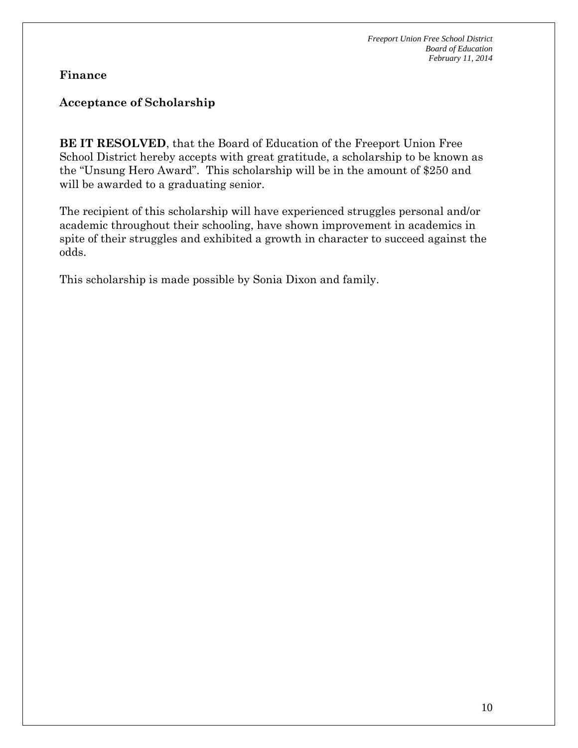### **Finance**

## **Acceptance of Scholarship**

**BE IT RESOLVED**, that the Board of Education of the Freeport Union Free School District hereby accepts with great gratitude, a scholarship to be known as the "Unsung Hero Award". This scholarship will be in the amount of \$250 and will be awarded to a graduating senior.

The recipient of this scholarship will have experienced struggles personal and/or academic throughout their schooling, have shown improvement in academics in spite of their struggles and exhibited a growth in character to succeed against the odds.

This scholarship is made possible by Sonia Dixon and family.